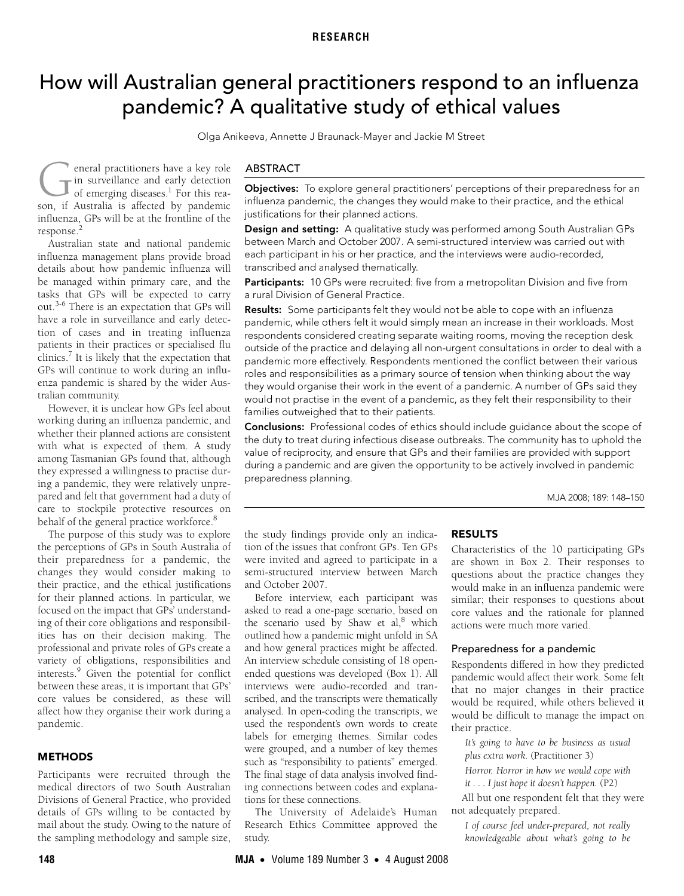# <span id="page-0-0"></span>How will Australian general practitioners respond to an influenza pandemic? A qualitative study of ethical values

Olga Anikeeva, Annette J Braunack-Mayer and Jackie M Street

eneral practitioners have a key role in surveillance and early detection of emerging diseases.<sup>1</sup> For this rea-**Solution** change in surveillance and early detection of emerging diseases.<sup>1</sup> For this reason, if Australia is affected by pandemic influenza, GPs will be at the frontline of the response.<sup>[2](#page-2-1)</sup>

tion of cases and in treating influenza patients in their practices or specialise[d flu](#page-0-0) clinics.<sup>7</sup> It is likely that the expectation that GPs will continue to work during an influwww.mja.com.au enza pandemic is shared by the wider Aus-Australian state and national pandemic influenza management plans provide broad details about how pandemic influenza will be managed within primary care, and the tasks that GPs will be expected to carry out[.3-](#page-2-2)[6](#page-2-3) There is an expectation that GPs will have a role in surveillance and early detectralian community.

However, it is unclear how GPs feel about working during an influenza pandemic, and whether their planned actions are consistent with what is expected of them. A study among Tasmanian GPs found that, although they expressed a willingness to practise during a pandemic, they were relatively unprepared and felt that government had a duty of care to stockpile protective resources on behalf of the general practice workforce.<sup>[8](#page-2-5)</sup>

The purpose of this study was to explore the perceptions of GPs in South Australia of their preparedness for a pandemic, the changes they would consider making to their practice, and the ethical justifications for their planned actions. In particular, we focused on the impact that GPs' understanding of their core obligations and responsibilities has on their decision making. The professional and private roles of GPs create a variety of obligations, responsibilities and interests.<sup>[9](#page-2-6)</sup> Given the potential for conflict between these areas, it is important that GPs' core values be considered, as these will affect how they organise their work during a pandemic.

## **METHODS**

Participants were recruited through the medical directors of two South Australian Divisions of General Practice, who provided details of GPs willing to be contacted by mail about the study. Owing to the nature of the sampling methodology and sample size,

## ABSTRACT

Objectives: To explore general practitioners' perceptions of their preparedness for an influenza pandemic, the changes they would make to their practice, and the ethical justifications for their planned actions.

Design and setting: A qualitative study was performed among South Australian GPs between March and October 2007. A semi-structured interview was carried out with each participant in his or her practice, and the interviews were audio-recorded, transcribed and analysed thematically.

Participants: 10 GPs were recruited: five from a metropolitan Division and five from a rural Division of General Practice.

Results: Some participants felt they would not be able to cope with an influenza pandemic, while others felt it would simply mean an increase in their workloads. Most respondents considered creating separate waiting rooms, moving the reception desk outside of the practice and delaying all non-urgent consultations in order to deal with a pandemic more effectively. Respondents mentioned the conflict between their various roles and responsibilities as a primary source of tension when thinking about the way they would organise their work in the event of a pandemic. A number of GPs said they would not practise in the event of a pandemic, as they felt their responsibility to their families outweighed that to their patients.

Conclusions: Professional codes of ethics should include guidance about the scope of the duty to treat during infectious disease outbreaks. The community has to uphold the value of reciprocity, and ensure that GPs and their families are provided with support during a pandemic and are given the opportunity to be actively involved in pandemic preparedness planning.

MJA 2008; 189: 148–150

the study findings provide only an indication of the issues that confront GPs. Ten GPs were invited and agreed to participate in a semi-structured interview between March and October 2007.

Before interview, each participant was asked to read a one-page scenario, based on the scenario used by Shaw et  $al$ ,<sup>8</sup> which outlined how a pandemic might unfold in SA and how general practices might be affected. An interview schedule consisting of 18 openended questions was developed (Box 1). All interviews were audio-recorded and transcribed, and the transcripts were thematically analysed. In open-coding the transcripts, we used the respondent's own words to create labels for emerging themes. Similar codes were grouped, and a number of key themes such as "responsibility to patients" emerged. The final stage of data analysis involved finding connections between codes and explanations for these connections.

The University of Adelaide's Human Research Ethics Committee approved the study.

#### RESULTS

Characteristics of the 10 participating GPs are shown in Box 2. Their responses to questions about the practice changes they would make in an influenza pandemic were similar; their responses to questions about core values and the rationale for planned actions were much more varied.

#### Preparedness for a pandemic

Respondents differed in how they predicted pandemic would affect their work. Some felt that no major changes in their practice would be required, while others believed it would be difficult to manage the impact on their practice.

*It's going to have to be business as usual plus extra work.* (Practitioner 3)

*Horror. Horror in how we would cope with it . . . I just hope it doesn't happen.* (P2)

All but one respondent felt that they were not adequately prepared.

*I of course feel under-prepared, not really knowledgeable about what's going to be*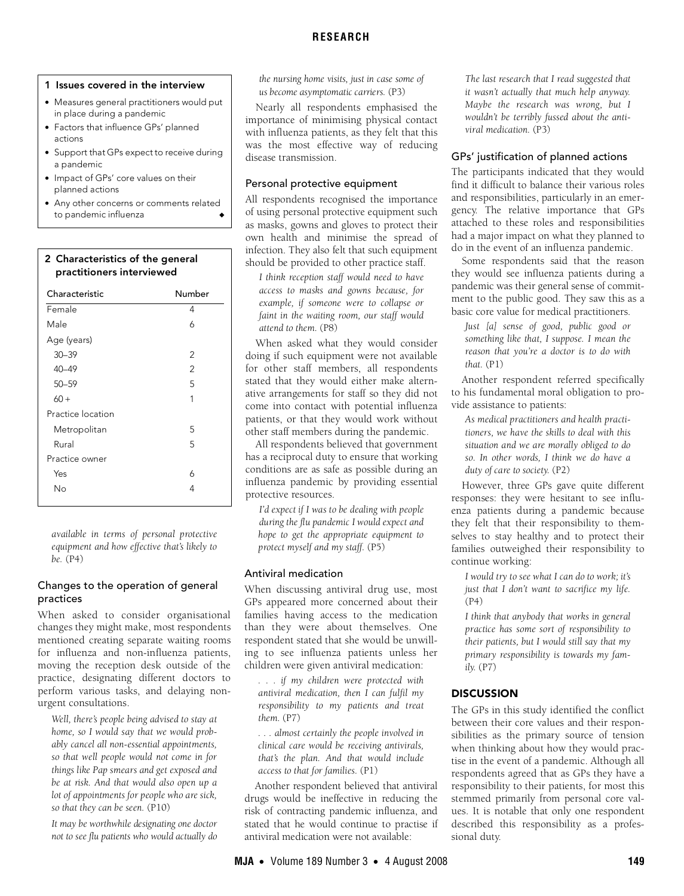#### 1 Issues covered in the interview

- Measures general practitioners would put in place during a pandemic
- Factors that influence GPs' planned actions
- Support that GPs expect to receive during a pandemic
- Impact of GPs' core values on their planned actions
- Any other concerns or comments related to pandemic influenza

## 2 Characteristics of the general practitioners interviewed

| Characteristic    | Number         |
|-------------------|----------------|
| Female            | 4              |
| Male              | 6              |
| Age (years)       |                |
| $30 - 39$         | 2              |
| $40 - 49$         | $\overline{2}$ |
| $50 - 59$         | 5              |
| $60 +$            | 1              |
| Practice location |                |
| Metropolitan      | 5              |
| Rural             | 5              |
| Practice owner    |                |
| Yes               | 6              |
| Nο                | 4              |
|                   |                |

*available in terms of personal protective equipment and how effective that's likely to be.* (P4)

## Changes to the operation of general practices

When asked to consider organisational changes they might make, most respondents mentioned creating separate waiting rooms for influenza and non-influenza patients, moving the reception desk outside of the practice, designating different doctors to perform various tasks, and delaying nonurgent consultations.

*Well, there's people being advised to stay at home, so I would say that we would probably cancel all non-essential appointments, so that well people would not come in for things like Pap smears and get exposed and be at risk. And that would also open up a lot of appointments for people who are sick, so that they can be seen.* (P10)

*It may be worthwhile designating one doctor not to see flu patients who would actually do* *the nursing home visits, just in case some of us become asymptomatic carriers.* (P3)

Nearly all respondents emphasised the importance of minimising physical contact with influenza patients, as they felt that this was the most effective way of reducing disease transmission.

## Personal protective equipment

All respondents recognised the importance of using personal protective equipment such as masks, gowns and gloves to protect their own health and minimise the spread of infection. They also felt that such equipment should be provided to other practice staff.

*I think reception staff would need to have access to masks and gowns because, for example, if someone were to collapse or faint in the waiting room, our staff would attend to them.* (P8)

When asked what they would consider doing if such equipment were not available for other staff members, all respondents stated that they would either make alternative arrangements for staff so they did not come into contact with potential influenza patients, or that they would work without other staff members during the pandemic.

All respondents believed that government has a reciprocal duty to ensure that working conditions are as safe as possible during an influenza pandemic by providing essential protective resources.

*I'd expect if I was to be dealing with people during the flu pandemic I would expect and hope to get the appropriate equipment to protect myself and my staff.* (P5)

## Antiviral medication

When discussing antiviral drug use, most GPs appeared more concerned about their families having access to the medication than they were about themselves. One respondent stated that she would be unwilling to see influenza patients unless her children were given antiviral medication:

*. . . if my children were protected with antiviral medication, then I can fulfil my responsibility to my patients and treat them.* (P7)

*. . . almost certainly the people involved in clinical care would be receiving antivirals, that's the plan. And that would include access to that for families.* (P1)

Another respondent believed that antiviral drugs would be ineffective in reducing the risk of contracting pandemic influenza, and stated that he would continue to practise if antiviral medication were not available:

*The last research that I read suggested that it wasn't actually that much help anyway. Maybe the research was wrong, but I wouldn't be terribly fussed about the antiviral medication.* (P3)

## GPs' justification of planned actions

The participants indicated that they would find it difficult to balance their various roles and responsibilities, particularly in an emergency. The relative importance that GPs attached to these roles and responsibilities had a major impact on what they planned to do in the event of an influenza pandemic.

Some respondents said that the reason they would see influenza patients during a pandemic was their general sense of commitment to the public good. They saw this as a basic core value for medical practitioners.

*Just [a] sense of good, public good or something like that, I suppose. I mean the reason that you're a doctor is to do with that.* (P1)

Another respondent referred specifically to his fundamental moral obligation to provide assistance to patients:

*As medical practitioners and health practitioners, we have the skills to deal with this situation and we are morally obliged to do so. In other words, I think we do have a duty of care to society.* (P2)

However, three GPs gave quite different responses: they were hesitant to see influenza patients during a pandemic because they felt that their responsibility to themselves to stay healthy and to protect their families outweighed their responsibility to continue working:

*I would try to see what I can do to work; it's just that I don't want to sacrifice my life.* (P4)

*I think that anybody that works in general practice has some sort of responsibility to their patients, but I would still say that my primary responsibility is towards my family.* (P7)

## **DISCUSSION**

The GPs in this study identified the conflict between their core values and their responsibilities as the primary source of tension when thinking about how they would practise in the event of a pandemic. Although all respondents agreed that as GPs they have a responsibility to their patients, for most this stemmed primarily from personal core values. It is notable that only one respondent described this responsibility as a professional duty.